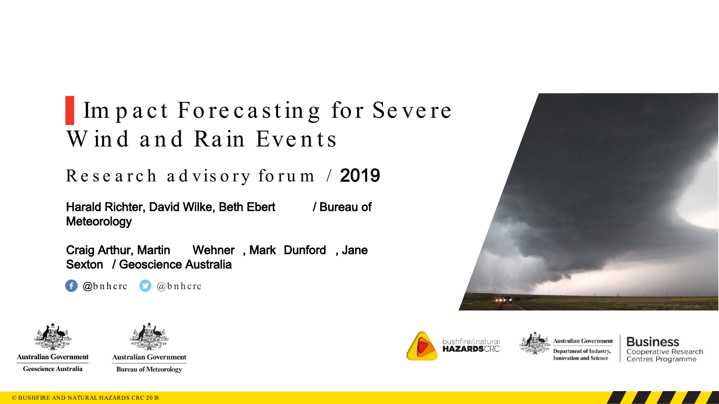#### Im pact Fore cast in g for Severe W in d and Rain Events

#### Re se a rc h a d viso ry fo ru m / 2019

Harald Richter, David Wilke, Beth Ebert / Bureau of Meteorology

Craig Arthur, Martin Wehner , Mark Dunford , Jane Sexton / Geoscience Australia

f @bnhcrc <u>@ @bnhcrc</u>





**Australian Government Geoscience Australia** 

**Australian Government Bureau of Meteorology** 



 $r - r$ 



**Business Cooperative Research** Centres Programme

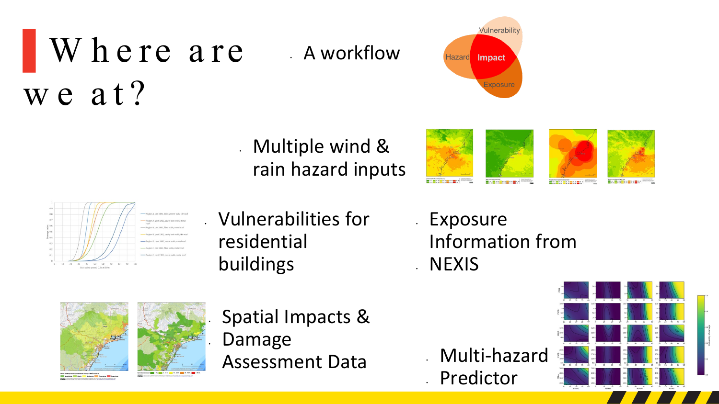#### Where are we at? • A workflow

**Vulnerability** Impact **Hazard** Exposure

• Multiple wind & rain hazard inputs





#### • Vulnerabilities for residential buildings

**Exposure** Information from • NEXIS



• Spatial Impacts & • Damage Assessment Data

• Multi-hazard • Predictor

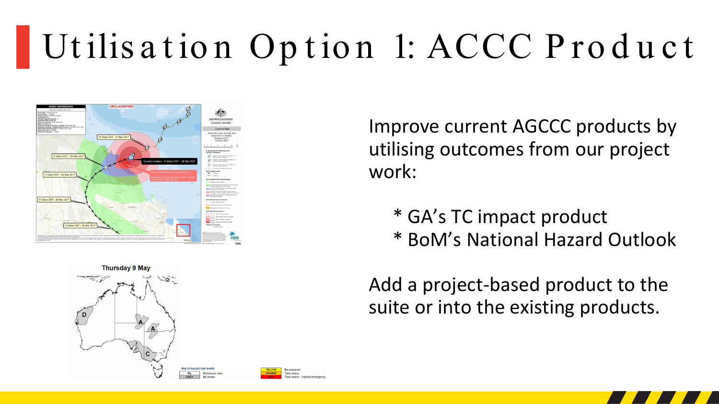## Utilisation Option 1: ACCC Product





Improve current AGCCC products by utilising outcomes from our project work:

- \* GA's TC impact product
- \* BoM's National Hazard Outlook

Add a project-based product to the suite or into the existing products.





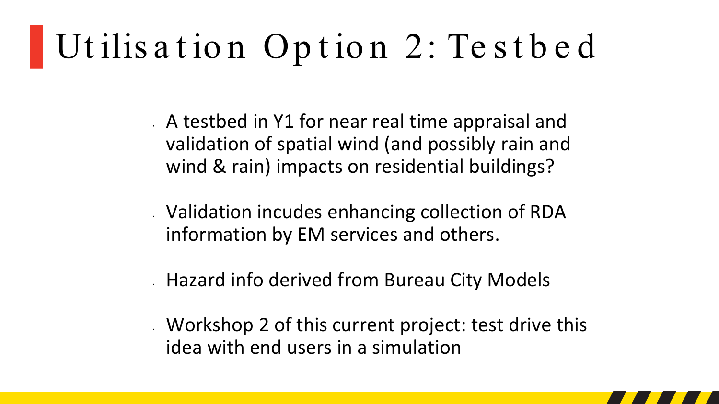### ▌Ut ilis a t io n Op t io n 2: Te s t b e d

• A testbed in Y1 for near real time appraisal and validation of spatial wind (and possibly rain and wind & rain) impacts on residential buildings?

- Validation incudes enhancing collection of RDA information by EM services and others.
- Hazard info derived from Bureau City Models
- Workshop 2 of this current project: test drive this idea with end users in a simulation

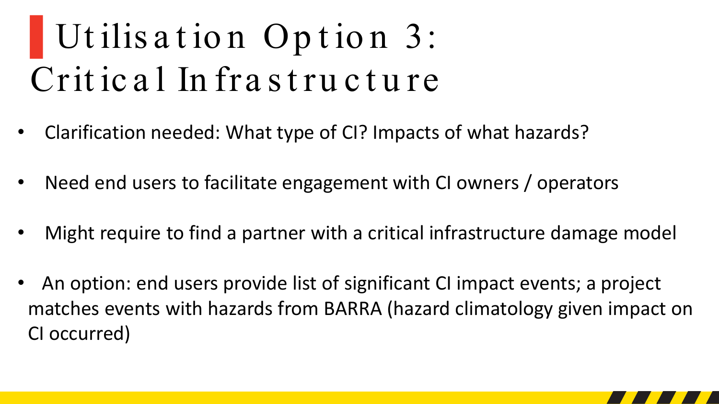# ▌Ut ilis a t io n Op t io n 3: Critical Infrastructure

- Clarification needed: What type of CI? Impacts of what hazards?
- Need end users to facilitate engagement with CI owners / operators
- Might require to find a partner with a critical infrastructure damage model
- An option: end users provide list of significant CI impact events; a project matches events with hazards from BARRA (hazard climatology given impact on CI occurred)

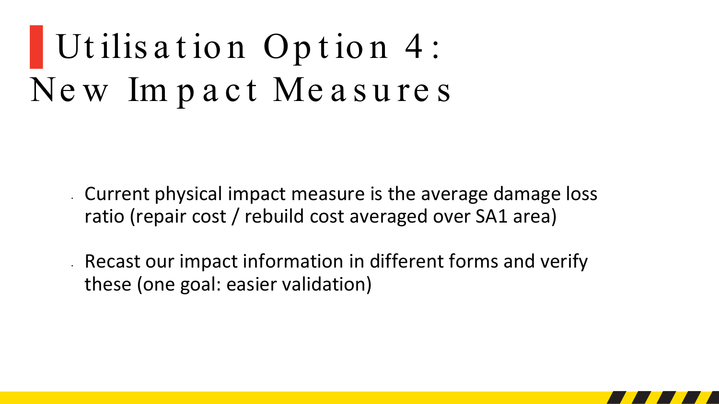### Utilisation Option 4: New Impact Measures

Current physical impact measure is the average damage loss ratio (repair cost / rebuild cost averaged over SA1 area)

Recast our impact information in different forms and verify these (one goal: easier validation)